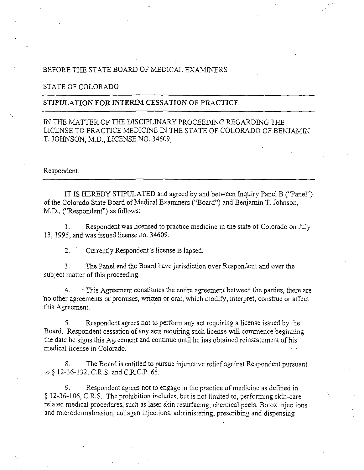## BEFORE THE STATE BOARD OF MEDICAL EXAMINERS

#### STATE OF COLORADO

## STIPULATION FOR INTERIM CESSATION OF PRACTICE

# IN THE MATTER OF THE DISCIPLINARY PROCEEDING REGARDING THE LICENSE TO PRACTICE MEDICINE IN THE STATE OF COLORADO OF BENJAMIN T. JOHNSON, M.D., LICENSE NO. 34609,

#### Respondent.

IT IS HEREBY STIPULATED and agreed by and between Inquiry Panel B ("Panel") of the Colorado State Board of Medical Examiners ("Board") and Benjamin T. Johnson, M.D., ("Respondent") as follows:

1. Respondent was licensed to practice medicine in the state of Colorado on July 13, 1995, and was issued license no. 34609.

2. Currently Respondent's license is lapsed.

3. The Panel and the Board have jurisdiction over Respondent and over the subject matter of this proceeding.

4. · This Agreement constitutes the entire agreement between the parties, there are no other agreements or promises, written or oral, which modify, interpret, construe or affect this Agreement.

5. Respondent agrees not to perform any act requiring a license issued by the Board. Respondent cessation of any acts requiring such license will commence beginning the date he signs this Agreement and continue until he has obtained reinstatement of his medical license in Colorado.

8. The Board is entitled to pursue injunctive relief against Respondent pursuant to§ 12-36-132, C.R.S. and C.R.C.P. 65.

9. Respondent agrees not to engage in the practice of medicine as defined in § 12-36-106, C.R.S. The prohibition includes, but is not limited to, performing skin-care related medical procedures, such as laser skin resurfacing, chemical peels, Botox injections and microdermabrasion, collagen injections, administering, prescribing and dispensing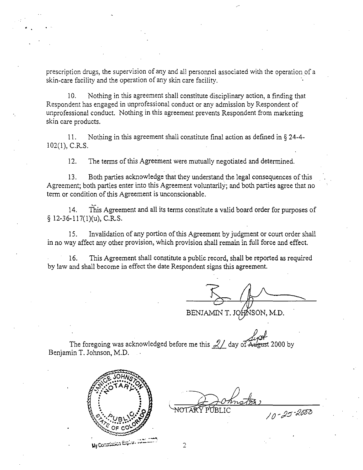prescription drugs, the supervision of any and all personnel associated with the operation of a skin-care facility and the operation of any skin care facility.

10. Nothing in this agreement shall constitute disciplinary action, a finding that Respondent has engaged in unprofessional conduct or any admission by Respondent of unprofessional conduct. Nothing in this agreement prevents Respondent from marketing skin care products.

11. Nothing in this agreement shall constitute final action as defined in§ 24-4- 102(1), C.R.S.

12. The terms of this Agreement were mutually negotiated and determined.

13. Both parties acknowledge that they understand the legal consequences of this Agreement; both parties enter into this Agreement voluntarily; and both parties agree that no term or condition of this Agreement is unconscionable.

14. This Agreement and all its terms constitute a valid board order for purposes of  $\S$  12-36-117(1)(u), C.R.S.

15. Invalidation of any portion of this Agreement by judgment or court order shall in no way affect any other provision, which provision shall remain in full force and effect.

16. This Agreement shall constitute a public record, shall be reported as required by law and shall become in effect the date Respondent signs this agreement.

BENJAMIN T. JOHNSON, M.D.

The foregoing was acknowledged before me this  $\frac{2}{1}$  day of August 2000 by Benjamin T. Johnson, M.D.



10-25-2000 <del>io</del>tary public

 $\overline{2}$